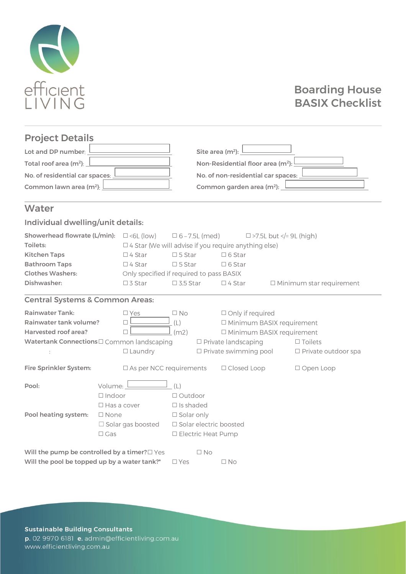

### Boarding House BASIX Checklist

### Project Details

| Lot and DP number: $L$                                  | Site area $(m^2)$ : $\frac{\sqrt{1 - (m^2)(1 - m^2)}}{2}$     |
|---------------------------------------------------------|---------------------------------------------------------------|
| Total roof area $(m^2)$ : $\Box$                        | Non-Residential floor area (m <sup>2</sup> ): $\frac{1}{2}$   |
| No. of residential car spaces: $\underline{\mathsf{L}}$ | No. of non-residential car spaces:                            |
| Common lawn area $(m^2)$ : $\Box$                       | Common garden area (m <sup>2</sup> ): $\frac{\sqrt{2}}{2\pi}$ |

### **Water**

### Individual dwelling/unit details:

| <b>Showerhead flowrate (L/min):</b> $\Box$ <6L (low) |                |                                          | $\Box$ 6 – 7.5L (med)                                  |              |                             | $\Box$ >7.5L but = 9L (high)</th <th></th> |  |                |                                 |  |
|------------------------------------------------------|----------------|------------------------------------------|--------------------------------------------------------|--------------|-----------------------------|--------------------------------------------|--|----------------|---------------------------------|--|
| Toilets:                                             |                |                                          | □ 4 Star (We will advise if you require anything else) |              |                             |                                            |  |                |                                 |  |
| <b>Kitchen Taps</b>                                  |                | $\Box$ 4 Star                            | $\square$ 5 Star                                       |              | $\Box$ 6 Star               |                                            |  |                |                                 |  |
| <b>Bathroom Taps</b>                                 |                | $\Box$ 4 Star                            | $\square$ 5 Star                                       |              | $\Box$ 6 Star               |                                            |  |                |                                 |  |
| <b>Clothes Washers:</b>                              |                | Only specified if required to pass BASIX |                                                        |              |                             |                                            |  |                |                                 |  |
| Dishwasher:                                          |                | $\Box$ 3 Star                            | $\square$ 3.5 Star                                     |              | $\Box$ 4 Star               |                                            |  |                | $\Box$ Minimum star requirement |  |
| <b>Central Systems &amp; Common Areas:</b>           |                |                                          |                                                        |              |                             |                                            |  |                |                                 |  |
| <b>Rainwater Tank:</b>                               |                | $\square$ Yes                            | $\Box$ No                                              |              |                             | <b>Only if required</b>                    |  |                |                                 |  |
| Rainwater tank volume?                               |                | □                                        | (L)                                                    |              | □ Minimum BASIX requirement |                                            |  |                |                                 |  |
| Harvested roof area?                                 |                |                                          | (m2)                                                   |              | □ Minimum BASIX requirement |                                            |  |                |                                 |  |
| Watertank Connections O Common landscaping           |                |                                          |                                                        |              | □ Private landscaping       |                                            |  | $\Box$ Toilets |                                 |  |
|                                                      |                | 口 Laundry                                |                                                        |              | □ Private swimming pool     |                                            |  |                | $\Box$ Private outdoor spa      |  |
| <b>Fire Sprinkler System:</b>                        |                | $\square$ As per NCC requirements        |                                                        |              | □ Closed Loop               |                                            |  | □ Open Loop    |                                 |  |
| Pool:                                                | Volume:        |                                          | (L)                                                    |              |                             |                                            |  |                |                                 |  |
|                                                      | $\Box$ Indoor  |                                          | □ Outdoor                                              |              |                             |                                            |  |                |                                 |  |
|                                                      |                | $\Box$ Is shaded<br>$\Box$ Has a cover   |                                                        |              |                             |                                            |  |                |                                 |  |
| Pool heating system:                                 | $\square$ None |                                          | $\square$ Solar only                                   |              |                             |                                            |  |                |                                 |  |
|                                                      |                | $\Box$ Solar gas boosted                 | □ Solar electric boosted                               |              |                             |                                            |  |                |                                 |  |
|                                                      | $\Box$ Gas     |                                          | $\Box$ Electric Heat Pump                              |              |                             |                                            |  |                |                                 |  |
| Will the pump be controlled by a timer? I Yes        |                |                                          |                                                        | $\square$ No |                             |                                            |  |                |                                 |  |
| Will the pool be topped up by a water tank?*         |                |                                          | 口 Yes                                                  |              | $\square$ No                |                                            |  |                |                                 |  |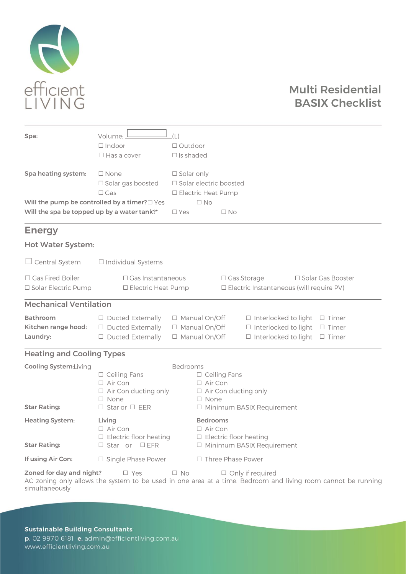

## Multi Residential BASIX Checklist

| Spa:                                                | Volume:<br>$\Box$ Indoor<br>$\Box$ Has a cover                                                                | (L)<br>□ Outdoor<br>$\Box$ Is shaded                                          |                                                                                                          |                          |                                                                                                                |  |                     |
|-----------------------------------------------------|---------------------------------------------------------------------------------------------------------------|-------------------------------------------------------------------------------|----------------------------------------------------------------------------------------------------------|--------------------------|----------------------------------------------------------------------------------------------------------------|--|---------------------|
| Spa heating system:                                 | $\square$ None<br>□ Solar gas boosted<br>$\Box$ Gas                                                           | $\square$ Solar only<br>□ Solar electric boosted<br>$\Box$ Electric Heat Pump |                                                                                                          |                          |                                                                                                                |  |                     |
| Will the spa be topped up by a water tank?*         | Will the pump be controlled by a timer? O Yes                                                                 | $\square$ Yes                                                                 | $\square$ No                                                                                             | $\square$ No             |                                                                                                                |  |                     |
| <b>Energy</b>                                       |                                                                                                               |                                                                               |                                                                                                          |                          |                                                                                                                |  |                     |
| <b>Hot Water System:</b>                            |                                                                                                               |                                                                               |                                                                                                          |                          |                                                                                                                |  |                     |
| $\Box$ Central System                               | $\Box$ Individual Systems                                                                                     |                                                                               |                                                                                                          |                          |                                                                                                                |  |                     |
| □ Gas Fired Boiler<br><b>□</b> Solar Electric Pump  | □ Gas Instantaneous<br>$\Box$ Electric Heat Pump                                                              |                                                                               |                                                                                                          | □ Gas Storage            | <b>ID</b> Electric Instantaneous (will require PV)                                                             |  | □ Solar Gas Booster |
| <b>Mechanical Ventilation</b>                       |                                                                                                               |                                                                               |                                                                                                          |                          |                                                                                                                |  |                     |
| <b>Bathroom</b><br>Kitchen range hood:<br>Laundry:  | 口 Ducted Externally<br><b>O</b> Ducted Externally<br>□ Ducted Externally                                      |                                                                               | $\Box$ Manual On/Off<br>日 Manual On/Off<br>□ Manual On/Off                                               |                          | $\Box$ Interlocked to light $\Box$ Timer<br>□ Interlocked to light<br>$\Box$ Interlocked to light $\Box$ Timer |  | $\Box$ Timer        |
| <b>Heating and Cooling Types</b>                    |                                                                                                               |                                                                               |                                                                                                          |                          |                                                                                                                |  |                     |
| <b>Cooling System:Living</b><br><b>Star Rating:</b> | Bedrooms<br>□ Ceiling Fans<br>□ Air Con<br>口 Air Con ducting only<br>$\Box$ None<br>$\Box$ Star or $\Box$ EER |                                                                               | $\Box$ Ceiling Fans<br>口 Air Con<br>$\Box$ Air Con ducting only<br>口 None<br>□ Minimum BASIX Requirement |                          |                                                                                                                |  |                     |
| <b>Heating System:</b><br><b>Star Rating:</b>       | Living<br>$\Box$ Air Con<br>目 Electric floor heating<br><b>□</b> Star or □EFR                                 |                                                                               | <b>Bedrooms</b><br>$\Box$ Air Con<br>$\Box$ Electric floor heating<br>Minimum BASIX Requirement          |                          |                                                                                                                |  |                     |
| If using Air Con:                                   | $\Box$ Single Phase Power                                                                                     |                                                                               |                                                                                                          | $\Box$ Three Phase Power |                                                                                                                |  |                     |
| Zoned for day and night?                            | $\square$ Yes                                                                                                 | $\square$ No                                                                  |                                                                                                          |                          | $\Box$ Only if required                                                                                        |  |                     |

simultaneously

**Sustainable Building Consultants** p. 02 9970 6181 e. admin@efficientliving.com.au www.efficientliving.com.au